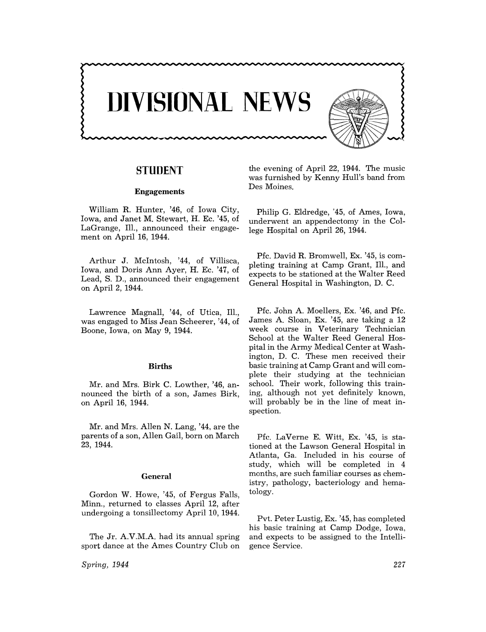

# **STUDENT**

#### **Engagements**

William R. Hunter, '46, of Iowa City, Iowa, and Janet M. Stewart, H. Ec. '45, of LaGrange, Ill., announced their engagement on April 16, 1944.

Arthur J. McIntosh, '44, of Villisca, Iowa, and Doris Ann Ayer, H. Ec. '47, of Lead, S. D., announced their engagement on April 2, 1944.

Lawrence Magnall, '44, of Utica, Ill., was engaged to Miss Jean Scheerer, '44, of Boone, Iowa, on May 9, 1944.

### **Births**

Mr. and Mrs. Birk C. Lowther, '46, announced the birth of a son, James Birk, on April 16, 1944.

Mr. and Mrs. Allen N. Lang, '44, are the parents of a son, Allen Gail, born on March 23, 1944.

#### **General**

Gordon W. Howe, '45, of Fergus Falls, Minn., returned to classes April 12, after undergoing a tonsillectomy April 10, 1944.

The Jr. A.V.M.A. had its annual spring sport dance at the Ames Country Club on

*Spring, 1944* 

the evening of April 22, 1944. The music was furnished by Kenny Hull's band from Des Moines.

Philip G. Eldredge, '45, of Ames, Iowa, underwent an appendectomy **in** the College Hospital on April 26, 1944.

Pfc. David R. Bromwell, Ex. '45, is completing training at Camp Grant, 111., and expects to be stationed at the Walter Reed General Hospital in Washington, D. C.

Pfc. John A. Moellers, Ex. '46, and Pfc. James A. Sloan, Ex. '45, are taking a 12 week course in Veterinary Technician School at the Walter Reed General Hospital in the Army Medical Center at Washington, D. C. These men received their basic training at Camp Grant and will complete their studying at the technician school. Their work, following this training, although not yet definitely known, will probably be in the line of meat inspection.

Pfc. LaVerne E. Witt, Ex. '45, is stationed at the Lawson General Hospital in Atlanta, Ga. Included in his course of study, which will be completed in 4 months, are such familiar courses as chemistry, pathology, bacteriology and hematology.

Pvt. Peter Lustig, Ex. '45, has completed his basic training at Camp Dodge, Iowa, and expects to be assigned to the Intelligence Service.